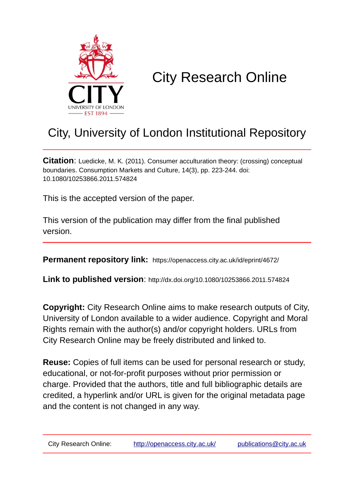

# City Research Online

## City, University of London Institutional Repository

**Citation**: Luedicke, M. K. (2011). Consumer acculturation theory: (crossing) conceptual boundaries. Consumption Markets and Culture, 14(3), pp. 223-244. doi: 10.1080/10253866.2011.574824

This is the accepted version of the paper.

This version of the publication may differ from the final published version.

**Permanent repository link:** https://openaccess.city.ac.uk/id/eprint/4672/

**Link to published version**: http://dx.doi.org/10.1080/10253866.2011.574824

**Copyright:** City Research Online aims to make research outputs of City, University of London available to a wider audience. Copyright and Moral Rights remain with the author(s) and/or copyright holders. URLs from City Research Online may be freely distributed and linked to.

**Reuse:** Copies of full items can be used for personal research or study, educational, or not-for-profit purposes without prior permission or charge. Provided that the authors, title and full bibliographic details are credited, a hyperlink and/or URL is given for the original metadata page and the content is not changed in any way.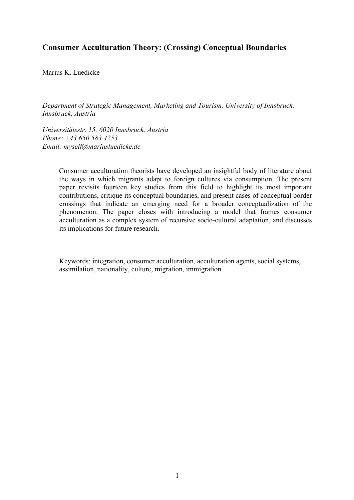### **Consumer Acculturation Theory: (Crossing) Conceptual Boundaries**

Marius K. Luedicke

*Department of Strategic Management, Marketing and Tourism, University of Innsbruck, Innsbruck, Austria*

*Universitätsstr. 15, 6020 Innsbruck, Austria Phone: +43 650 583 4253 Email: myself@mariusluedicke.de*

> Consumer acculturation theorists have developed an insightful body of literature about the ways in which migrants adapt to foreign cultures via consumption. The present paper revisits fourteen key studies from this field to highlight its most important contributions, critique its conceptual boundaries, and present cases of conceptual border crossings that indicate an emerging need for a broader conceptualization of the phenomenon. The paper closes with introducing a model that frames consumer acculturation as a complex system of recursive socio-cultural adaptation, and discusses its implications for future research.

Keywords: integration, consumer acculturation, acculturation agents, social systems, assimilation, nationality, culture, migration, immigration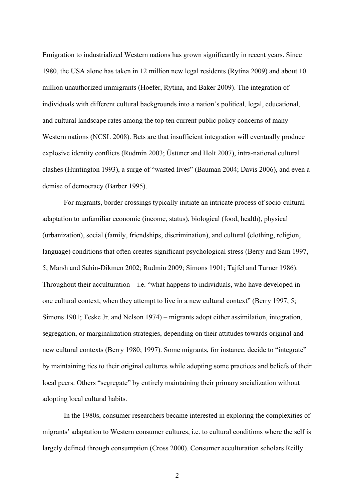Emigration to industrialized Western nations has grown significantly in recent years. Since 1980, the USA alone has taken in 12 million new legal residents (Rytina 2009) and about 10 million unauthorized immigrants (Hoefer, Rytina, and Baker 2009). The integration of individuals with different cultural backgrounds into a nation's political, legal, educational, and cultural landscape rates among the top ten current public policy concerns of many Western nations (NCSL 2008). Bets are that insufficient integration will eventually produce explosive identity conflicts (Rudmin 2003; Üstüner and Holt 2007), intra-national cultural clashes (Huntington 1993), a surge of "wasted lives" (Bauman 2004; Davis 2006), and even a demise of democracy (Barber 1995).

For migrants, border crossings typically initiate an intricate process of socio-cultural adaptation to unfamiliar economic (income, status), biological (food, health), physical (urbanization), social (family, friendships, discrimination), and cultural (clothing, religion, language) conditions that often creates significant psychological stress (Berry and Sam 1997, 5; Marsh and Sahin-Dikmen 2002; Rudmin 2009; Simons 1901; Tajfel and Turner 1986). Throughout their acculturation  $-$  i.e. "what happens to individuals, who have developed in one cultural context, when they attempt to live in a new cultural context" (Berry 1997, 5; Simons 1901; Teske Jr. and Nelson 1974) – migrants adopt either assimilation, integration, segregation, or marginalization strategies, depending on their attitudes towards original and new cultural contexts (Berry 1980; 1997). Some migrants, for instance, decide to "integrate" by maintaining ties to their original cultures while adopting some practices and beliefs of their local peers. Others "segregate" by entirely maintaining their primary socialization without adopting local cultural habits.

In the 1980s, consumer researchers became interested in exploring the complexities of migrants' adaptation to Western consumer cultures, i.e. to cultural conditions where the self is largely defined through consumption (Cross 2000). Consumer acculturation scholars Reilly

 $-2-$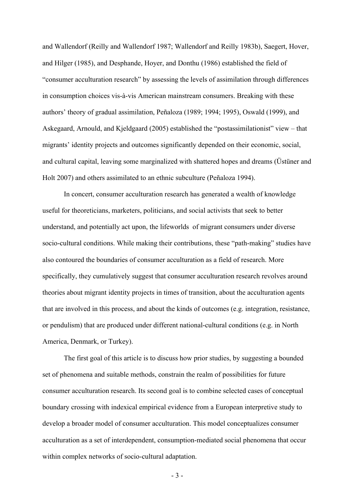and Wallendorf (Reilly and Wallendorf 1987; Wallendorf and Reilly 1983b), Saegert, Hover, and Hilger (1985), and Desphande, Hoyer, and Donthu (1986) established the field of "consumer acculturation research" by assessing the levels of assimilation through differences in consumption choices vis-à-vis American mainstream consumers. Breaking with these authors' theory of gradual assimilation, Peñaloza (1989; 1994; 1995), Oswald (1999), and Askegaard, Arnould, and Kjeldgaard (2005) established the "postassimilationist" view – that migrants' identity projects and outcomes significantly depended on their economic, social, and cultural capital, leaving some marginalized with shattered hopes and dreams (Üstüner and Holt 2007) and others assimilated to an ethnic subculture (Peñaloza 1994).

In concert, consumer acculturation research has generated a wealth of knowledge useful for theoreticians, marketers, politicians, and social activists that seek to better understand, and potentially act upon, the lifeworlds of migrant consumers under diverse socio-cultural conditions. While making their contributions, these "path-making" studies have also contoured the boundaries of consumer acculturation as a field of research. More specifically, they cumulatively suggest that consumer acculturation research revolves around theories about migrant identity projects in times of transition, about the acculturation agents that are involved in this process, and about the kinds of outcomes (e.g. integration, resistance, or pendulism) that are produced under different national-cultural conditions (e.g. in North America, Denmark, or Turkey).

The first goal of this article is to discuss how prior studies, by suggesting a bounded set of phenomena and suitable methods, constrain the realm of possibilities for future consumer acculturation research. Its second goal is to combine selected cases of conceptual boundary crossing with indexical empirical evidence from a European interpretive study to develop a broader model of consumer acculturation. This model conceptualizes consumer acculturation as a set of interdependent, consumption-mediated social phenomena that occur within complex networks of socio-cultural adaptation.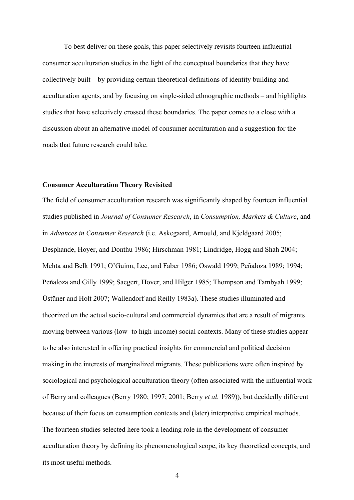To best deliver on these goals, this paper selectively revisits fourteen influential consumer acculturation studies in the light of the conceptual boundaries that they have collectively built – by providing certain theoretical definitions of identity building and acculturation agents, and by focusing on single-sided ethnographic methods – and highlights studies that have selectively crossed these boundaries. The paper comes to a close with a discussion about an alternative model of consumer acculturation and a suggestion for the roads that future research could take.

#### **Consumer Acculturation Theory Revisited**

The field of consumer acculturation research was significantly shaped by fourteen influential studies published in *Journal of Consumer Research*, in *Consumption, Markets & Culture*, and in *Advances in Consumer Research* (i.e. Askegaard, Arnould, and Kjeldgaard 2005; Desphande, Hoyer, and Donthu 1986; Hirschman 1981; Lindridge, Hogg and Shah 2004; Mehta and Belk 1991; O'Guinn, Lee, and Faber 1986; Oswald 1999; Peñaloza 1989; 1994; Peñaloza and Gilly 1999; Saegert, Hover, and Hilger 1985; Thompson and Tambyah 1999; Üstüner and Holt 2007; Wallendorf and Reilly 1983a). These studies illuminated and theorized on the actual socio-cultural and commercial dynamics that are a result of migrants moving between various (low- to high-income) social contexts. Many of these studies appear to be also interested in offering practical insights for commercial and political decision making in the interests of marginalized migrants. These publications were often inspired by sociological and psychological acculturation theory (often associated with the influential work of Berry and colleagues (Berry 1980; 1997; 2001; Berry *et al.* 1989)), but decidedly different because of their focus on consumption contexts and (later) interpretive empirical methods. The fourteen studies selected here took a leading role in the development of consumer acculturation theory by defining its phenomenological scope, its key theoretical concepts, and its most useful methods.

 $-4-$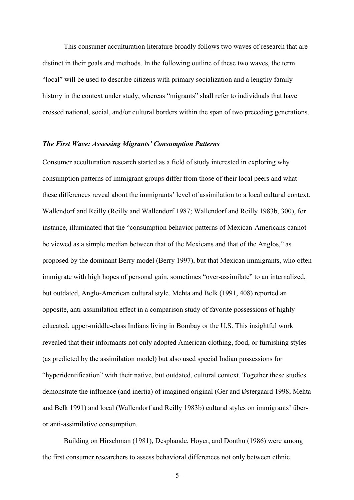This consumer acculturation literature broadly follows two waves of research that are distinct in their goals and methods. In the following outline of these two waves, the term "local" will be used to describe citizens with primary socialization and a lengthy family history in the context under study, whereas "migrants" shall refer to individuals that have crossed national, social, and/or cultural borders within the span of two preceding generations.

#### *The First Wave: Assessing Migrants' Consumption Patterns*

Consumer acculturation research started as a field of study interested in exploring why consumption patterns of immigrant groups differ from those of their local peers and what these differences reveal about the immigrants' level of assimilation to a local cultural context. Wallendorf and Reilly (Reilly and Wallendorf 1987; Wallendorf and Reilly 1983b, 300), for instance, illuminated that the "consumption behavior patterns of Mexican-Americans cannot be viewed as a simple median between that of the Mexicans and that of the Anglos," as proposed by the dominant Berry model (Berry 1997), but that Mexican immigrants, who often immigrate with high hopes of personal gain, sometimes "over-assimilate" to an internalized, but outdated, Anglo-American cultural style. Mehta and Belk (1991, 408) reported an opposite, anti-assimilation effect in a comparison study of favorite possessions of highly educated, upper-middle-class Indians living in Bombay or the U.S. This insightful work revealed that their informants not only adopted American clothing, food, or furnishing styles (as predicted by the assimilation model) but also used special Indian possessions for "hyperidentification" with their native, but outdated, cultural context. Together these studies demonstrate the influence (and inertia) of imagined original (Ger and Østergaard 1998; Mehta and Belk 1991) and local (Wallendorf and Reilly 1983b) cultural styles on immigrants' überor anti-assimilative consumption.

Building on Hirschman (1981), Desphande, Hoyer, and Donthu (1986) were among the first consumer researchers to assess behavioral differences not only between ethnic

- 5 -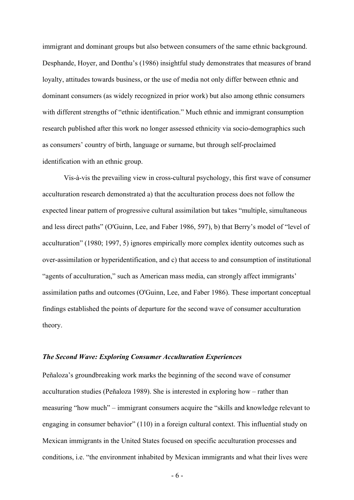immigrant and dominant groups but also between consumers of the same ethnic background. Desphande, Hoyer, and Donthu's (1986) insightful study demonstrates that measures of brand loyalty, attitudes towards business, or the use of media not only differ between ethnic and dominant consumers (as widely recognized in prior work) but also among ethnic consumers with different strengths of "ethnic identification." Much ethnic and immigrant consumption research published after this work no longer assessed ethnicity via socio-demographics such as consumers' country of birth, language or surname, but through self-proclaimed identification with an ethnic group.

Vis-à-vis the prevailing view in cross-cultural psychology, this first wave of consumer acculturation research demonstrated a) that the acculturation process does not follow the expected linear pattern of progressive cultural assimilation but takes "multiple, simultaneous and less direct paths" (O'Guinn, Lee, and Faber 1986, 597), b) that Berry's model of "level of acculturation" (1980; 1997, 5) ignores empirically more complex identity outcomes such as over-assimilation or hyperidentification, and c) that access to and consumption of institutional "agents of acculturation," such as American mass media, can strongly affect immigrants' assimilation paths and outcomes (O'Guinn, Lee, and Faber 1986). These important conceptual findings established the points of departure for the second wave of consumer acculturation theory.

#### *The Second Wave: Exploring Consumer Acculturation Experiences*

Peñaloza's groundbreaking work marks the beginning of the second wave of consumer acculturation studies (Peñaloza 1989). She is interested in exploring how – rather than measuring "how much" – immigrant consumers acquire the "skills and knowledge relevant to engaging in consumer behavior" (110) in a foreign cultural context. This influential study on Mexican immigrants in the United States focused on specific acculturation processes and conditions, i.e. "the environment inhabited by Mexican immigrants and what their lives were

- 6 -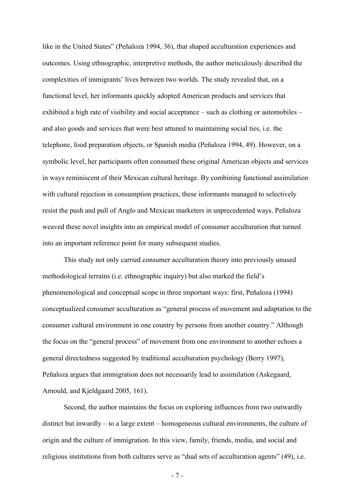like in the United States" (Peñaloza 1994, 36), that shaped acculturation experiences and outcomes. Using ethnographic, interpretive methods, the author meticulously described the complexities of immigrants' lives between two worlds. The study revealed that, on a functional level, her informants quickly adopted American products and services that exhibited a high rate of visibility and social acceptance – such as clothing or automobiles – and also goods and services that were best attuned to maintaining social ties, i.e. the telephone, food preparation objects, or Spanish media (Peñaloza 1994, 49). However, on a symbolic level, her participants often consumed these original American objects and services in ways reminiscent of their Mexican cultural heritage. By combining functional assimilation with cultural rejection in consumption practices, these informants managed to selectively resist the push and pull of Anglo and Mexican marketers in unprecedented ways. Peñaloza weaved these novel insights into an empirical model of consumer acculturation that turned into an important reference point for many subsequent studies.

This study not only carried consumer acculturation theory into previously unused methodological terrains (i.e. ethnographic inquiry) but also marked the field's phenomenological and conceptual scope in three important ways: first, Peñaloza (1994) conceptualized consumer acculturation as "general process of movement and adaptation to the consumer cultural environment in one country by persons from another country." Although the focus on the "general process" of movement from one environment to another echoes a general directedness suggested by traditional acculturation psychology (Berry 1997), Peñaloza argues that immigration does not necessarily lead to assimilation (Askegaard, Arnould, and Kjeldgaard 2005, 161).

Second, the author maintains the focus on exploring influences from two outwardly distinct but inwardly – to a large extent – homogeneous cultural environments, the culture of origin and the culture of immigration. In this view, family, friends, media, and social and religious institutions from both cultures serve as "dual sets of acculturation agents" (49), i.e.

- 7 -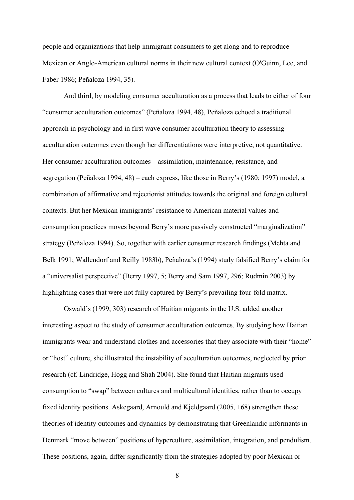people and organizations that help immigrant consumers to get along and to reproduce Mexican or Anglo-American cultural norms in their new cultural context (O'Guinn, Lee, and Faber 1986; Peñaloza 1994, 35).

And third, by modeling consumer acculturation as a process that leads to either of four "consumer acculturation outcomes" (Peñaloza 1994, 48), Peñaloza echoed a traditional approach in psychology and in first wave consumer acculturation theory to assessing acculturation outcomes even though her differentiations were interpretive, not quantitative. Her consumer acculturation outcomes – assimilation, maintenance, resistance, and segregation (Peñaloza 1994, 48) – each express, like those in Berry's (1980; 1997) model, a combination of affirmative and rejectionist attitudes towards the original and foreign cultural contexts. But her Mexican immigrants' resistance to American material values and consumption practices moves beyond Berry's more passively constructed "marginalization" strategy (Peñaloza 1994). So, together with earlier consumer research findings (Mehta and Belk 1991; Wallendorf and Reilly 1983b), Peñaloza's (1994) study falsified Berry's claim for a "universalist perspective" (Berry 1997, 5; Berry and Sam 1997, 296; Rudmin 2003) by highlighting cases that were not fully captured by Berry's prevailing four-fold matrix.

Oswald's (1999, 303) research of Haitian migrants in the U.S. added another interesting aspect to the study of consumer acculturation outcomes. By studying how Haitian immigrants wear and understand clothes and accessories that they associate with their "home" or "host" culture, she illustrated the instability of acculturation outcomes, neglected by prior research (cf. Lindridge, Hogg and Shah 2004). She found that Haitian migrants used consumption to "swap" between cultures and multicultural identities, rather than to occupy fixed identity positions. Askegaard, Arnould and Kjeldgaard (2005, 168) strengthen these theories of identity outcomes and dynamics by demonstrating that Greenlandic informants in Denmark "move between" positions of hyperculture, assimilation, integration, and pendulism. These positions, again, differ significantly from the strategies adopted by poor Mexican or

- 8 -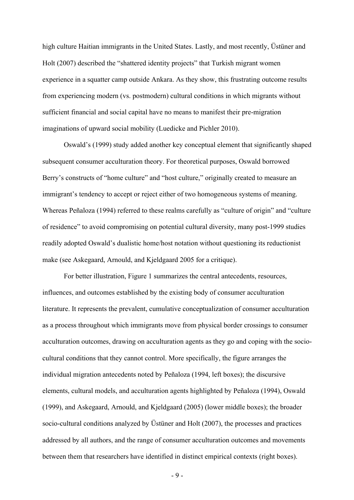high culture Haitian immigrants in the United States. Lastly, and most recently, Üstüner and Holt (2007) described the "shattered identity projects" that Turkish migrant women experience in a squatter camp outside Ankara. As they show, this frustrating outcome results from experiencing modern (vs. postmodern) cultural conditions in which migrants without sufficient financial and social capital have no means to manifest their pre-migration imaginations of upward social mobility (Luedicke and Pichler 2010).

Oswald's (1999) study added another key conceptual element that significantly shaped subsequent consumer acculturation theory. For theoretical purposes, Oswald borrowed Berry's constructs of "home culture" and "host culture," originally created to measure an immigrant's tendency to accept or reject either of two homogeneous systems of meaning. Whereas Peñaloza (1994) referred to these realms carefully as "culture of origin" and "culture of residence" to avoid compromising on potential cultural diversity, many post-1999 studies readily adopted Oswald's dualistic home/host notation without questioning its reductionist make (see Askegaard, Arnould, and Kjeldgaard 2005 for a critique).

For better illustration, Figure 1 summarizes the central antecedents, resources, influences, and outcomes established by the existing body of consumer acculturation literature. It represents the prevalent, cumulative conceptualization of consumer acculturation as a process throughout which immigrants move from physical border crossings to consumer acculturation outcomes, drawing on acculturation agents as they go and coping with the sociocultural conditions that they cannot control. More specifically, the figure arranges the individual migration antecedents noted by Peñaloza (1994, left boxes); the discursive elements, cultural models, and acculturation agents highlighted by Peñaloza (1994), Oswald (1999), and Askegaard, Arnould, and Kjeldgaard (2005) (lower middle boxes); the broader socio-cultural conditions analyzed by Üstüner and Holt (2007), the processes and practices addressed by all authors, and the range of consumer acculturation outcomes and movements between them that researchers have identified in distinct empirical contexts (right boxes).

- 9 -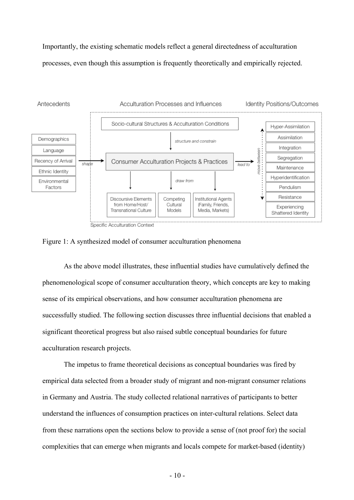Importantly, the existing schematic models reflect a general directedness of acculturation processes, even though this assumption is frequently theoretically and empirically rejected.



Figure 1: A synthesized model of consumer acculturation phenomena

As the above model illustrates, these influential studies have cumulatively defined the phenomenological scope of consumer acculturation theory, which concepts are key to making sense of its empirical observations, and how consumer acculturation phenomena are successfully studied. The following section discusses three influential decisions that enabled a significant theoretical progress but also raised subtle conceptual boundaries for future acculturation research projects.

The impetus to frame theoretical decisions as conceptual boundaries was fired by empirical data selected from a broader study of migrant and non-migrant consumer relations in Germany and Austria. The study collected relational narratives of participants to better understand the influences of consumption practices on inter-cultural relations. Select data from these narrations open the sections below to provide a sense of (not proof for) the social complexities that can emerge when migrants and locals compete for market-based (identity)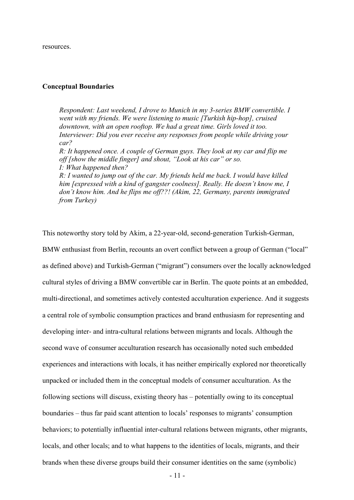resources.

#### **Conceptual Boundaries**

*from Turkey)*

*Respondent: Last weekend, I drove to Munich in my 3-series BMW convertible. I went with my friends. We were listening to music [Turkish hip-hop], cruised downtown, with an open rooftop. We had a great time. Girls loved it too. Interviewer: Did you ever receive any responses from people while driving your car? R: It happened once. A couple of German guys. They look at my car and flip me off [show the middle finger] and shout, "Look at his car" or so. I: What happened then? R: I wanted to jump out of the car. My friends held me back. I would have killed him [expressed with a kind of gangster coolness]. Really. He doesn't know me, I don't know him. And he flips me off??! (Akim, 22, Germany, parents immigrated* 

- 11 - This noteworthy story told by Akim, a 22-year-old, second-generation Turkish-German, BMW enthusiast from Berlin, recounts an overt conflict between a group of German ("local" as defined above) and Turkish-German ("migrant") consumers over the locally acknowledged cultural styles of driving a BMW convertible car in Berlin. The quote points at an embedded, multi-directional, and sometimes actively contested acculturation experience. And it suggests a central role of symbolic consumption practices and brand enthusiasm for representing and developing inter- and intra-cultural relations between migrants and locals. Although the second wave of consumer acculturation research has occasionally noted such embedded experiences and interactions with locals, it has neither empirically explored nor theoretically unpacked or included them in the conceptual models of consumer acculturation. As the following sections will discuss, existing theory has – potentially owing to its conceptual boundaries – thus far paid scant attention to locals' responses to migrants' consumption behaviors; to potentially influential inter-cultural relations between migrants, other migrants, locals, and other locals; and to what happens to the identities of locals, migrants, and their brands when these diverse groups build their consumer identities on the same (symbolic)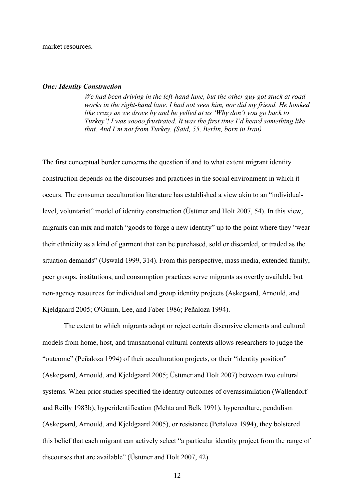market resources.

#### *One: Identity Construction*

*We had been driving in the left-hand lane, but the other guy got stuck at road works in the right-hand lane. I had not seen him, nor did my friend. He honked like crazy as we drove by and he yelled at us 'Why don't you go back to Turkey'! I was soooo frustrated. It was the first time I'd heard something like that. And I'm not from Turkey. (Said, 55, Berlin, born in Iran)* 

The first conceptual border concerns the question if and to what extent migrant identity construction depends on the discourses and practices in the social environment in which it occurs. The consumer acculturation literature has established a view akin to an "individuallevel, voluntarist" model of identity construction (Üstüner and Holt 2007, 54). In this view, migrants can mix and match "goods to forge a new identity" up to the point where they "wear their ethnicity as a kind of garment that can be purchased, sold or discarded, or traded as the situation demands" (Oswald 1999, 314). From this perspective, mass media, extended family, peer groups, institutions, and consumption practices serve migrants as overtly available but non-agency resources for individual and group identity projects (Askegaard, Arnould, and Kjeldgaard 2005; O'Guinn, Lee, and Faber 1986; Peñaloza 1994).

The extent to which migrants adopt or reject certain discursive elements and cultural models from home, host, and transnational cultural contexts allows researchers to judge the "outcome" (Peñaloza 1994) of their acculturation projects, or their "identity position" (Askegaard, Arnould, and Kjeldgaard 2005; Üstüner and Holt 2007) between two cultural systems. When prior studies specified the identity outcomes of overassimilation (Wallendorf and Reilly 1983b), hyperidentification (Mehta and Belk 1991), hyperculture, pendulism (Askegaard, Arnould, and Kjeldgaard 2005), or resistance (Peñaloza 1994), they bolstered this belief that each migrant can actively select "a particular identity project from the range of discourses that are available" (Üstüner and Holt 2007, 42).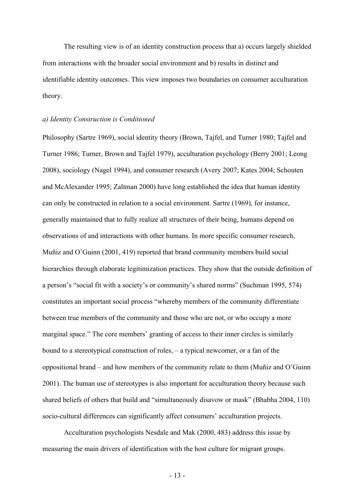The resulting view is of an identity construction process that a) occurs largely shielded from interactions with the broader social environment and b) results in distinct and identifiable identity outcomes. This view imposes two boundaries on consumer acculturation theory.

#### *a) Identity Construction is Conditioned*

Philosophy (Sartre 1969), social identity theory (Brown, Tajfel, and Turner 1980; Tajfel and Turner 1986; Turner, Brown and Tajfel 1979), acculturation psychology (Berry 2001; Leong 2008), sociology (Nagel 1994), and consumer research (Avery 2007; Kates 2004; Schouten and McAlexander 1995; Zaltman 2000) have long established the idea that human identity can only be constructed in relation to a social environment. Sartre (1969), for instance, generally maintained that to fully realize all structures of their being, humans depend on observations of and interactions with other humans. In more specific consumer research, Muñiz and O'Guinn (2001, 419) reported that brand community members build social hierarchies through elaborate legitimization practices. They show that the outside definition of a person's "social fit with a society's or community's shared norms" (Suchman 1995, 574) constitutes an important social process "whereby members of the community differentiate between true members of the community and those who are not, or who occupy a more marginal space." The core members' granting of access to their inner circles is similarly bound to a stereotypical construction of roles, – a typical newcomer, or a fan of the oppositional brand – and how members of the community relate to them (Muñiz and O'Guinn 2001). The human use of stereotypes is also important for acculturation theory because such shared beliefs of others that build and "simultaneously disavow or mask" (Bhabha 2004, 110) socio-cultural differences can significantly affect consumers' acculturation projects.

Acculturation psychologists Nesdale and Mak (2000, 483) address this issue by measuring the main drivers of identification with the host culture for migrant groups.

- 13 -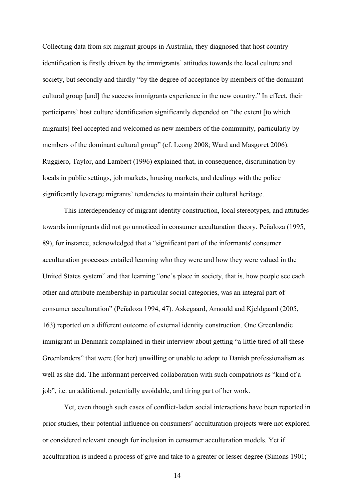Collecting data from six migrant groups in Australia, they diagnosed that host country identification is firstly driven by the immigrants' attitudes towards the local culture and society, but secondly and thirdly "by the degree of acceptance by members of the dominant cultural group [and] the success immigrants experience in the new country." In effect, their participants' host culture identification significantly depended on "the extent [to which migrants] feel accepted and welcomed as new members of the community, particularly by members of the dominant cultural group" (cf. Leong 2008; Ward and Masgoret 2006). Ruggiero, Taylor, and Lambert (1996) explained that, in consequence, discrimination by locals in public settings, job markets, housing markets, and dealings with the police significantly leverage migrants' tendencies to maintain their cultural heritage.

This interdependency of migrant identity construction, local stereotypes, and attitudes towards immigrants did not go unnoticed in consumer acculturation theory. Peñaloza (1995, 89), for instance, acknowledged that a "significant part of the informants' consumer acculturation processes entailed learning who they were and how they were valued in the United States system" and that learning "one's place in society, that is, how people see each other and attribute membership in particular social categories, was an integral part of consumer acculturation" (Peñaloza 1994, 47). Askegaard, Arnould and Kjeldgaard (2005, 163) reported on a different outcome of external identity construction. One Greenlandic immigrant in Denmark complained in their interview about getting "a little tired of all these Greenlanders" that were (for her) unwilling or unable to adopt to Danish professionalism as well as she did. The informant perceived collaboration with such compatriots as "kind of a job", i.e. an additional, potentially avoidable, and tiring part of her work.

Yet, even though such cases of conflict-laden social interactions have been reported in prior studies, their potential influence on consumers' acculturation projects were not explored or considered relevant enough for inclusion in consumer acculturation models. Yet if acculturation is indeed a process of give and take to a greater or lesser degree (Simons 1901;

- 14 -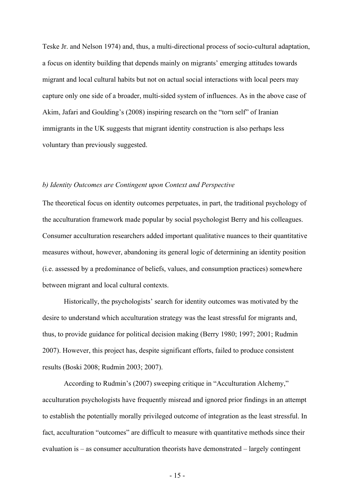Teske Jr. and Nelson 1974) and, thus, a multi-directional process of socio-cultural adaptation, a focus on identity building that depends mainly on migrants' emerging attitudes towards migrant and local cultural habits but not on actual social interactions with local peers may capture only one side of a broader, multi-sided system of influences. As in the above case of Akim, Jafari and Goulding's (2008) inspiring research on the "torn self" of Iranian immigrants in the UK suggests that migrant identity construction is also perhaps less voluntary than previously suggested.

#### *b) Identity Outcomes are Contingent upon Context and Perspective*

The theoretical focus on identity outcomes perpetuates, in part, the traditional psychology of the acculturation framework made popular by social psychologist Berry and his colleagues. Consumer acculturation researchers added important qualitative nuances to their quantitative measures without, however, abandoning its general logic of determining an identity position (i.e. assessed by a predominance of beliefs, values, and consumption practices) somewhere between migrant and local cultural contexts.

Historically, the psychologists' search for identity outcomes was motivated by the desire to understand which acculturation strategy was the least stressful for migrants and, thus, to provide guidance for political decision making (Berry 1980; 1997; 2001; Rudmin 2007). However, this project has, despite significant efforts, failed to produce consistent results (Boski 2008; Rudmin 2003; 2007).

According to Rudmin's (2007) sweeping critique in "Acculturation Alchemy," acculturation psychologists have frequently misread and ignored prior findings in an attempt to establish the potentially morally privileged outcome of integration as the least stressful. In fact, acculturation "outcomes" are difficult to measure with quantitative methods since their evaluation is – as consumer acculturation theorists have demonstrated – largely contingent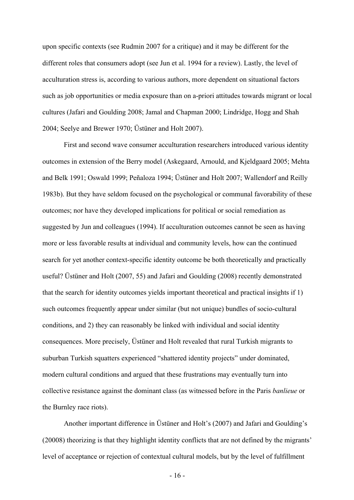upon specific contexts (see Rudmin 2007 for a critique) and it may be different for the different roles that consumers adopt (see Jun et al. 1994 for a review). Lastly, the level of acculturation stress is, according to various authors, more dependent on situational factors such as job opportunities or media exposure than on a-priori attitudes towards migrant or local cultures (Jafari and Goulding 2008; Jamal and Chapman 2000; Lindridge, Hogg and Shah 2004; Seelye and Brewer 1970; Üstüner and Holt 2007).

First and second wave consumer acculturation researchers introduced various identity outcomes in extension of the Berry model (Askegaard, Arnould, and Kjeldgaard 2005; Mehta and Belk 1991; Oswald 1999; Peñaloza 1994; Üstüner and Holt 2007; Wallendorf and Reilly 1983b). But they have seldom focused on the psychological or communal favorability of these outcomes; nor have they developed implications for political or social remediation as suggested by Jun and colleagues (1994). If acculturation outcomes cannot be seen as having more or less favorable results at individual and community levels, how can the continued search for yet another context-specific identity outcome be both theoretically and practically useful? Üstüner and Holt (2007, 55) and Jafari and Goulding (2008) recently demonstrated that the search for identity outcomes yields important theoretical and practical insights if 1) such outcomes frequently appear under similar (but not unique) bundles of socio-cultural conditions, and 2) they can reasonably be linked with individual and social identity consequences. More precisely, Üstüner and Holt revealed that rural Turkish migrants to suburban Turkish squatters experienced "shattered identity projects" under dominated, modern cultural conditions and argued that these frustrations may eventually turn into collective resistance against the dominant class (as witnessed before in the Paris *banlieue* or the Burnley race riots).

Another important difference in Üstüner and Holt's (2007) and Jafari and Goulding's (20008) theorizing is that they highlight identity conflicts that are not defined by the migrants' level of acceptance or rejection of contextual cultural models, but by the level of fulfillment

- 16 -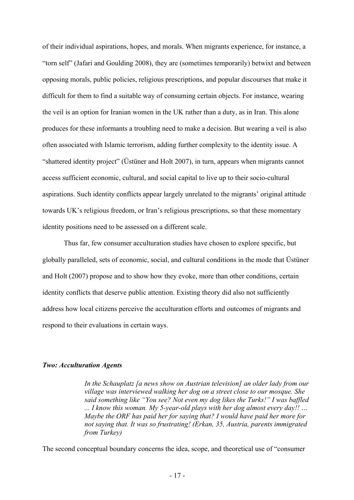of their individual aspirations, hopes, and morals. When migrants experience, for instance, a "torn self" (Jafari and Goulding 2008), they are (sometimes temporarily) betwixt and between opposing morals, public policies, religious prescriptions, and popular discourses that make it difficult for them to find a suitable way of consuming certain objects. For instance, wearing the veil is an option for Iranian women in the UK rather than a duty, as in Iran. This alone produces for these informants a troubling need to make a decision. But wearing a veil is also often associated with Islamic terrorism, adding further complexity to the identity issue. A "shattered identity project" (Üstüner and Holt 2007), in turn, appears when migrants cannot access sufficient economic, cultural, and social capital to live up to their socio-cultural aspirations. Such identity conflicts appear largely unrelated to the migrants' original attitude towards UK's religious freedom, or Iran's religious prescriptions, so that these momentary identity positions need to be assessed on a different scale.

Thus far, few consumer acculturation studies have chosen to explore specific, but globally paralleled, sets of economic, social, and cultural conditions in the mode that Üstüner and Holt (2007) propose and to show how they evoke, more than other conditions, certain identity conflicts that deserve public attention. Existing theory did also not sufficiently address how local citizens perceive the acculturation efforts and outcomes of migrants and respond to their evaluations in certain ways.

#### *Two: Acculturation Agents*

*In the Schauplatz [a news show on Austrian television] an older lady from our village was interviewed walking her dog on a street close to our mosque. She said something like "You see? Not even my dog likes the Turks!" I was baffled ... I know this woman. My 5-year-old plays with her dog almost every day!! … Maybe the ORF has paid her for saying that? I would have paid her more for not saying that. It was so frustrating! (Erkan, 35, Austria, parents immigrated from Turkey)*

The second conceptual boundary concerns the idea, scope, and theoretical use of "consumer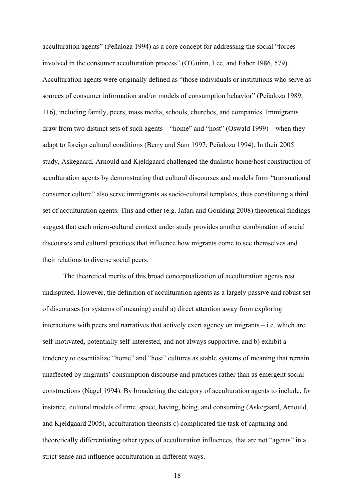acculturation agents" (Peñaloza 1994) as a core concept for addressing the social "forces involved in the consumer acculturation process" (O'Guinn, Lee, and Faber 1986, 579). Acculturation agents were originally defined as "those individuals or institutions who serve as sources of consumer information and/or models of consumption behavior" (Peñaloza 1989, 116), including family, peers, mass media, schools, churches, and companies. Immigrants draw from two distinct sets of such agents – "home" and "host" (Oswald 1999) – when they adapt to foreign cultural conditions (Berry and Sam 1997; Peñaloza 1994). In their 2005 study, Askegaard, Arnould and Kjeldgaard challenged the dualistic home/host construction of acculturation agents by demonstrating that cultural discourses and models from "transnational consumer culture" also serve immigrants as socio-cultural templates, thus constituting a third set of acculturation agents. This and other (e.g. Jafari and Goulding 2008) theoretical findings suggest that each micro-cultural context under study provides another combination of social discourses and cultural practices that influence how migrants come to see themselves and their relations to diverse social peers.

The theoretical merits of this broad conceptualization of acculturation agents rest undisputed. However, the definition of acculturation agents as a largely passive and robust set of discourses (or systems of meaning) could a) direct attention away from exploring interactions with peers and narratives that actively exert agency on migrants – i.e. which are self-motivated, potentially self-interested, and not always supportive, and b) exhibit a tendency to essentialize "home" and "host" cultures as stable systems of meaning that remain unaffected by migrants' consumption discourse and practices rather than as emergent social constructions (Nagel 1994). By broadening the category of acculturation agents to include, for instance, cultural models of time, space, having, being, and consuming (Askegaard, Arnould, and Kjeldgaard 2005), acculturation theorists c) complicated the task of capturing and theoretically differentiating other types of acculturation influences, that are not "agents" in a strict sense and influence acculturation in different ways.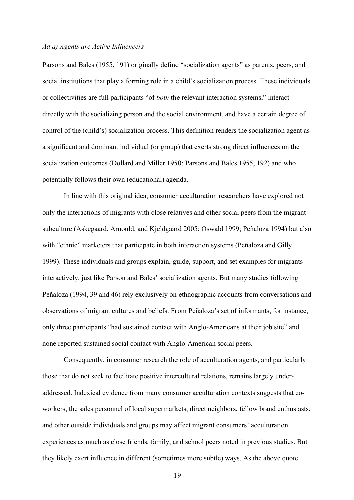#### *Ad a) Agents are Active Influencers*

Parsons and Bales (1955, 191) originally define "socialization agents" as parents, peers, and social institutions that play a forming role in a child's socialization process. These individuals or collectivities are full participants "of *both* the relevant interaction systems," interact directly with the socializing person and the social environment, and have a certain degree of control of the (child's) socialization process. This definition renders the socialization agent as a significant and dominant individual (or group) that exerts strong direct influences on the socialization outcomes (Dollard and Miller 1950; Parsons and Bales 1955, 192) and who potentially follows their own (educational) agenda.

In line with this original idea, consumer acculturation researchers have explored not only the interactions of migrants with close relatives and other social peers from the migrant subculture (Askegaard, Arnould, and Kjeldgaard 2005; Oswald 1999; Peñaloza 1994) but also with "ethnic" marketers that participate in both interaction systems (Peñaloza and Gilly 1999). These individuals and groups explain, guide, support, and set examples for migrants interactively, just like Parson and Bales' socialization agents. But many studies following Peñaloza (1994, 39 and 46) rely exclusively on ethnographic accounts from conversations and observations of migrant cultures and beliefs. From Peñaloza's set of informants, for instance, only three participants "had sustained contact with Anglo-Americans at their job site" and none reported sustained social contact with Anglo-American social peers.

Consequently, in consumer research the role of acculturation agents, and particularly those that do not seek to facilitate positive intercultural relations, remains largely underaddressed. Indexical evidence from many consumer acculturation contexts suggests that coworkers, the sales personnel of local supermarkets, direct neighbors, fellow brand enthusiasts, and other outside individuals and groups may affect migrant consumers' acculturation experiences as much as close friends, family, and school peers noted in previous studies. But they likely exert influence in different (sometimes more subtle) ways. As the above quote

- 19 -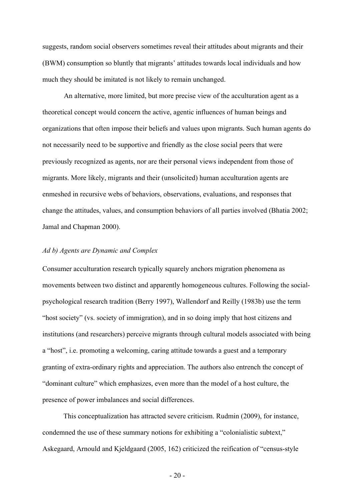suggests, random social observers sometimes reveal their attitudes about migrants and their (BWM) consumption so bluntly that migrants' attitudes towards local individuals and how much they should be imitated is not likely to remain unchanged.

An alternative, more limited, but more precise view of the acculturation agent as a theoretical concept would concern the active, agentic influences of human beings and organizations that often impose their beliefs and values upon migrants. Such human agents do not necessarily need to be supportive and friendly as the close social peers that were previously recognized as agents, nor are their personal views independent from those of migrants. More likely, migrants and their (unsolicited) human acculturation agents are enmeshed in recursive webs of behaviors, observations, evaluations, and responses that change the attitudes, values, and consumption behaviors of all parties involved (Bhatia 2002; Jamal and Chapman 2000).

#### *Ad b) Agents are Dynamic and Complex*

Consumer acculturation research typically squarely anchors migration phenomena as movements between two distinct and apparently homogeneous cultures. Following the socialpsychological research tradition (Berry 1997), Wallendorf and Reilly (1983b) use the term "host society" (vs. society of immigration), and in so doing imply that host citizens and institutions (and researchers) perceive migrants through cultural models associated with being a "host", i.e. promoting a welcoming, caring attitude towards a guest and a temporary granting of extra-ordinary rights and appreciation. The authors also entrench the concept of "dominant culture" which emphasizes, even more than the model of a host culture, the presence of power imbalances and social differences.

This conceptualization has attracted severe criticism. Rudmin (2009), for instance, condemned the use of these summary notions for exhibiting a "colonialistic subtext," Askegaard, Arnould and Kjeldgaard (2005, 162) criticized the reification of "census-style

 $-20-$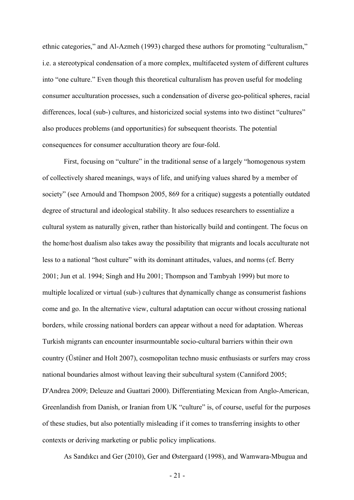ethnic categories," and Al-Azmeh (1993) charged these authors for promoting "culturalism," i.e. a stereotypical condensation of a more complex, multifaceted system of different cultures into "one culture." Even though this theoretical culturalism has proven useful for modeling consumer acculturation processes, such a condensation of diverse geo-political spheres, racial differences, local (sub-) cultures, and historicized social systems into two distinct "cultures" also produces problems (and opportunities) for subsequent theorists. The potential consequences for consumer acculturation theory are four-fold.

First, focusing on "culture" in the traditional sense of a largely "homogenous system of collectively shared meanings, ways of life, and unifying values shared by a member of society" (see Arnould and Thompson 2005, 869 for a critique) suggests a potentially outdated degree of structural and ideological stability. It also seduces researchers to essentialize a cultural system as naturally given, rather than historically build and contingent. The focus on the home/host dualism also takes away the possibility that migrants and locals acculturate not less to a national "host culture" with its dominant attitudes, values, and norms (cf. Berry 2001; Jun et al. 1994; Singh and Hu 2001; Thompson and Tambyah 1999) but more to multiple localized or virtual (sub-) cultures that dynamically change as consumerist fashions come and go. In the alternative view, cultural adaptation can occur without crossing national borders, while crossing national borders can appear without a need for adaptation. Whereas Turkish migrants can encounter insurmountable socio-cultural barriers within their own country (Üstüner and Holt 2007), cosmopolitan techno music enthusiasts or surfers may cross national boundaries almost without leaving their subcultural system (Canniford 2005; D'Andrea 2009; Deleuze and Guattari 2000). Differentiating Mexican from Anglo-American, Greenlandish from Danish, or Iranian from UK "culture" is, of course, useful for the purposes of these studies, but also potentially misleading if it comes to transferring insights to other contexts or deriving marketing or public policy implications.

As Sandıkcı and Ger (2010), Ger and Østergaard (1998), and Wamwara-Mbugua and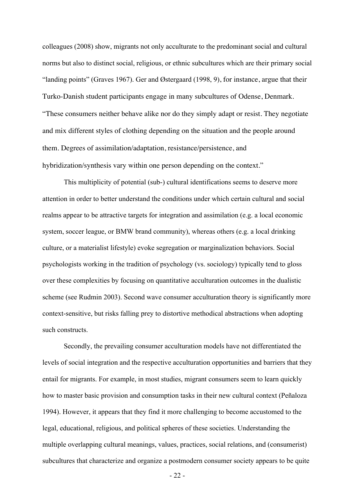colleagues (2008) show, migrants not only acculturate to the predominant social and cultural norms but also to distinct social, religious, or ethnic subcultures which are their primary social "landing points" (Graves 1967). Ger and Østergaard (1998, 9), for instance, argue that their Turko-Danish student participants engage in many subcultures of Odense, Denmark. "These consumers neither behave alike nor do they simply adapt or resist. They negotiate and mix different styles of clothing depending on the situation and the people around them. Degrees of assimilation/adaptation, resistance/persistence, and hybridization/synthesis vary within one person depending on the context."

This multiplicity of potential (sub-) cultural identifications seems to deserve more attention in order to better understand the conditions under which certain cultural and social realms appear to be attractive targets for integration and assimilation (e.g. a local economic system, soccer league, or BMW brand community), whereas others (e.g. a local drinking culture, or a materialist lifestyle) evoke segregation or marginalization behaviors. Social psychologists working in the tradition of psychology (vs. sociology) typically tend to gloss over these complexities by focusing on quantitative acculturation outcomes in the dualistic scheme (see Rudmin 2003). Second wave consumer acculturation theory is significantly more context-sensitive, but risks falling prey to distortive methodical abstractions when adopting such constructs.

Secondly, the prevailing consumer acculturation models have not differentiated the levels of social integration and the respective acculturation opportunities and barriers that they entail for migrants. For example, in most studies, migrant consumers seem to learn quickly how to master basic provision and consumption tasks in their new cultural context (Peñaloza 1994). However, it appears that they find it more challenging to become accustomed to the legal, educational, religious, and political spheres of these societies. Understanding the multiple overlapping cultural meanings, values, practices, social relations, and (consumerist) subcultures that characterize and organize a postmodern consumer society appears to be quite

- 22 -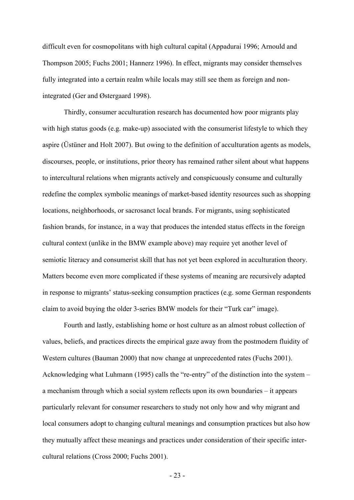difficult even for cosmopolitans with high cultural capital (Appadurai 1996; Arnould and Thompson 2005; Fuchs 2001; Hannerz 1996). In effect, migrants may consider themselves fully integrated into a certain realm while locals may still see them as foreign and nonintegrated (Ger and Østergaard 1998).

Thirdly, consumer acculturation research has documented how poor migrants play with high status goods (e.g. make-up) associated with the consumerist lifestyle to which they aspire (Üstüner and Holt 2007). But owing to the definition of acculturation agents as models, discourses, people, or institutions, prior theory has remained rather silent about what happens to intercultural relations when migrants actively and conspicuously consume and culturally redefine the complex symbolic meanings of market-based identity resources such as shopping locations, neighborhoods, or sacrosanct local brands. For migrants, using sophisticated fashion brands, for instance, in a way that produces the intended status effects in the foreign cultural context (unlike in the BMW example above) may require yet another level of semiotic literacy and consumerist skill that has not yet been explored in acculturation theory. Matters become even more complicated if these systems of meaning are recursively adapted in response to migrants' status-seeking consumption practices (e.g. some German respondents claim to avoid buying the older 3-series BMW models for their "Turk car" image).

Fourth and lastly, establishing home or host culture as an almost robust collection of values, beliefs, and practices directs the empirical gaze away from the postmodern fluidity of Western cultures (Bauman 2000) that now change at unprecedented rates (Fuchs 2001). Acknowledging what Luhmann (1995) calls the "re-entry" of the distinction into the system – a mechanism through which a social system reflects upon its own boundaries – it appears particularly relevant for consumer researchers to study not only how and why migrant and local consumers adopt to changing cultural meanings and consumption practices but also how they mutually affect these meanings and practices under consideration of their specific intercultural relations (Cross 2000; Fuchs 2001).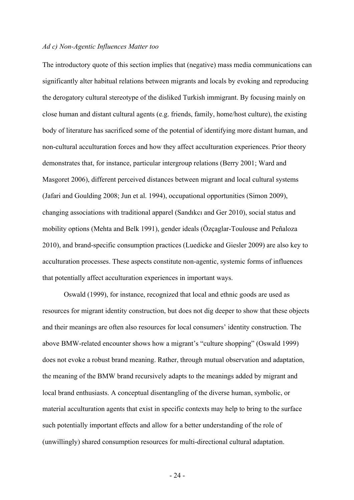#### *Ad c) Non-Agentic Influences Matter too*

The introductory quote of this section implies that (negative) mass media communications can significantly alter habitual relations between migrants and locals by evoking and reproducing the derogatory cultural stereotype of the disliked Turkish immigrant. By focusing mainly on close human and distant cultural agents (e.g. friends, family, home/host culture), the existing body of literature has sacrificed some of the potential of identifying more distant human, and non-cultural acculturation forces and how they affect acculturation experiences. Prior theory demonstrates that, for instance, particular intergroup relations (Berry 2001; Ward and Masgoret 2006), different perceived distances between migrant and local cultural systems (Jafari and Goulding 2008; Jun et al. 1994), occupational opportunities (Simon 2009), changing associations with traditional apparel (Sandıkcı and Ger 2010), social status and mobility options (Mehta and Belk 1991), gender ideals (Özçaglar-Toulouse and Peñaloza 2010), and brand-specific consumption practices (Luedicke and Giesler 2009) are also key to acculturation processes. These aspects constitute non-agentic, systemic forms of influences that potentially affect acculturation experiences in important ways.

Oswald (1999), for instance, recognized that local and ethnic goods are used as resources for migrant identity construction, but does not dig deeper to show that these objects and their meanings are often also resources for local consumers' identity construction. The above BMW-related encounter shows how a migrant's "culture shopping" (Oswald 1999) does not evoke a robust brand meaning. Rather, through mutual observation and adaptation, the meaning of the BMW brand recursively adapts to the meanings added by migrant and local brand enthusiasts. A conceptual disentangling of the diverse human, symbolic, or material acculturation agents that exist in specific contexts may help to bring to the surface such potentially important effects and allow for a better understanding of the role of (unwillingly) shared consumption resources for multi-directional cultural adaptation.

- 24 -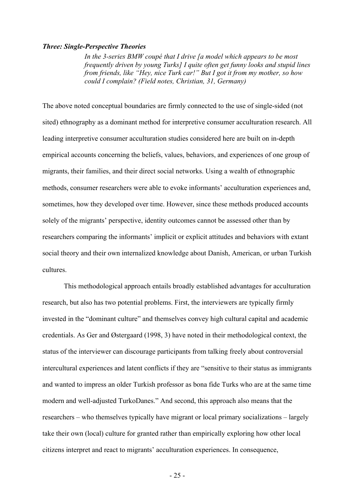#### *Three: Single-Perspective Theories*

*In the 3-series BMW coupé that I drive [a model which appears to be most frequently driven by young Turks] I quite often get funny looks and stupid lines from friends, like "Hey, nice Turk car!" But I got it from my mother, so how could I complain? (Field notes, Christian, 31, Germany)* 

The above noted conceptual boundaries are firmly connected to the use of single-sided (not sited) ethnography as a dominant method for interpretive consumer acculturation research. All leading interpretive consumer acculturation studies considered here are built on in-depth empirical accounts concerning the beliefs, values, behaviors, and experiences of one group of migrants, their families, and their direct social networks. Using a wealth of ethnographic methods, consumer researchers were able to evoke informants' acculturation experiences and, sometimes, how they developed over time. However, since these methods produced accounts solely of the migrants' perspective, identity outcomes cannot be assessed other than by researchers comparing the informants' implicit or explicit attitudes and behaviors with extant social theory and their own internalized knowledge about Danish, American, or urban Turkish cultures.

This methodological approach entails broadly established advantages for acculturation research, but also has two potential problems. First, the interviewers are typically firmly invested in the "dominant culture" and themselves convey high cultural capital and academic credentials. As Ger and Østergaard (1998, 3) have noted in their methodological context, the status of the interviewer can discourage participants from talking freely about controversial intercultural experiences and latent conflicts if they are "sensitive to their status as immigrants and wanted to impress an older Turkish professor as bona fide Turks who are at the same time modern and well-adjusted TurkoDanes." And second, this approach also means that the researchers – who themselves typically have migrant or local primary socializations – largely take their own (local) culture for granted rather than empirically exploring how other local citizens interpret and react to migrants' acculturation experiences. In consequence,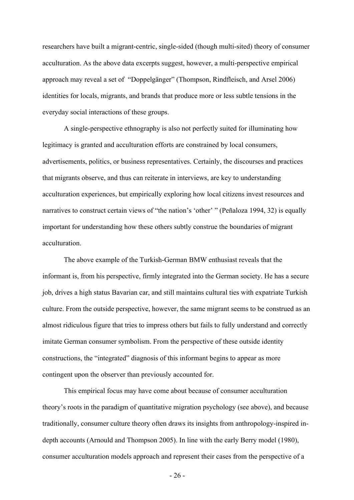researchers have built a migrant-centric, single-sided (though multi-sited) theory of consumer acculturation. As the above data excerpts suggest, however, a multi-perspective empirical approach may reveal a set of "Doppelgänger" (Thompson, Rindfleisch, and Arsel 2006) identities for locals, migrants, and brands that produce more or less subtle tensions in the everyday social interactions of these groups.

A single-perspective ethnography is also not perfectly suited for illuminating how legitimacy is granted and acculturation efforts are constrained by local consumers, advertisements, politics, or business representatives. Certainly, the discourses and practices that migrants observe, and thus can reiterate in interviews, are key to understanding acculturation experiences, but empirically exploring how local citizens invest resources and narratives to construct certain views of "the nation's 'other' " (Peñaloza 1994, 32) is equally important for understanding how these others subtly construe the boundaries of migrant acculturation.

The above example of the Turkish-German BMW enthusiast reveals that the informant is, from his perspective, firmly integrated into the German society. He has a secure job, drives a high status Bavarian car, and still maintains cultural ties with expatriate Turkish culture. From the outside perspective, however, the same migrant seems to be construed as an almost ridiculous figure that tries to impress others but fails to fully understand and correctly imitate German consumer symbolism. From the perspective of these outside identity constructions, the "integrated" diagnosis of this informant begins to appear as more contingent upon the observer than previously accounted for.

This empirical focus may have come about because of consumer acculturation theory's roots in the paradigm of quantitative migration psychology (see above), and because traditionally, consumer culture theory often draws its insights from anthropology-inspired indepth accounts (Arnould and Thompson 2005). In line with the early Berry model (1980), consumer acculturation models approach and represent their cases from the perspective of a

- 26 -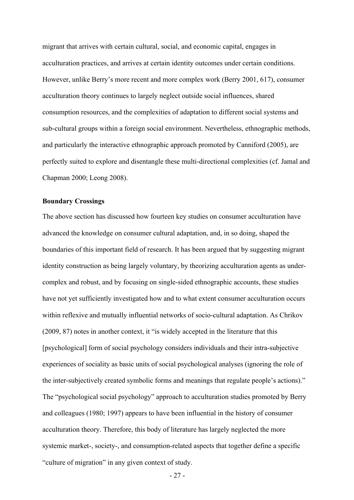migrant that arrives with certain cultural, social, and economic capital, engages in acculturation practices, and arrives at certain identity outcomes under certain conditions. However, unlike Berry's more recent and more complex work (Berry 2001, 617), consumer acculturation theory continues to largely neglect outside social influences, shared consumption resources, and the complexities of adaptation to different social systems and sub-cultural groups within a foreign social environment. Nevertheless, ethnographic methods, and particularly the interactive ethnographic approach promoted by Canniford (2005), are perfectly suited to explore and disentangle these multi-directional complexities (cf. Jamal and Chapman 2000; Leong 2008).

#### **Boundary Crossings**

The above section has discussed how fourteen key studies on consumer acculturation have advanced the knowledge on consumer cultural adaptation, and, in so doing, shaped the boundaries of this important field of research. It has been argued that by suggesting migrant identity construction as being largely voluntary, by theorizing acculturation agents as undercomplex and robust, and by focusing on single-sided ethnographic accounts, these studies have not yet sufficiently investigated how and to what extent consumer acculturation occurs within reflexive and mutually influential networks of socio-cultural adaptation. As Chrikov (2009, 87) notes in another context, it "is widely accepted in the literature that this [psychological] form of social psychology considers individuals and their intra-subjective experiences of sociality as basic units of social psychological analyses (ignoring the role of the inter-subjectively created symbolic forms and meanings that regulate people's actions)." The "psychological social psychology" approach to acculturation studies promoted by Berry and colleagues (1980; 1997) appears to have been influential in the history of consumer acculturation theory. Therefore, this body of literature has largely neglected the more systemic market-, society-, and consumption-related aspects that together define a specific "culture of migration" in any given context of study.

- 27 -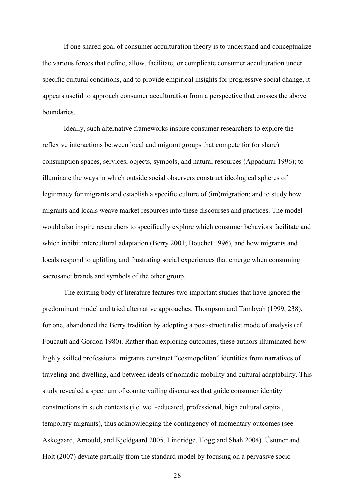If one shared goal of consumer acculturation theory is to understand and conceptualize the various forces that define, allow, facilitate, or complicate consumer acculturation under specific cultural conditions, and to provide empirical insights for progressive social change, it appears useful to approach consumer acculturation from a perspective that crosses the above boundaries.

Ideally, such alternative frameworks inspire consumer researchers to explore the reflexive interactions between local and migrant groups that compete for (or share) consumption spaces, services, objects, symbols, and natural resources (Appadurai 1996); to illuminate the ways in which outside social observers construct ideological spheres of legitimacy for migrants and establish a specific culture of (im)migration; and to study how migrants and locals weave market resources into these discourses and practices. The model would also inspire researchers to specifically explore which consumer behaviors facilitate and which inhibit intercultural adaptation (Berry 2001; Bouchet 1996), and how migrants and locals respond to uplifting and frustrating social experiences that emerge when consuming sacrosanct brands and symbols of the other group.

The existing body of literature features two important studies that have ignored the predominant model and tried alternative approaches. Thompson and Tambyah (1999, 238), for one, abandoned the Berry tradition by adopting a post-structuralist mode of analysis (cf. Foucault and Gordon 1980). Rather than exploring outcomes, these authors illuminated how highly skilled professional migrants construct "cosmopolitan" identities from narratives of traveling and dwelling, and between ideals of nomadic mobility and cultural adaptability. This study revealed a spectrum of countervailing discourses that guide consumer identity constructions in such contexts (i.e. well-educated, professional, high cultural capital, temporary migrants), thus acknowledging the contingency of momentary outcomes (see Askegaard, Arnould, and Kjeldgaard 2005, Lindridge, Hogg and Shah 2004). Üstüner and Holt (2007) deviate partially from the standard model by focusing on a pervasive socio-

- 28 -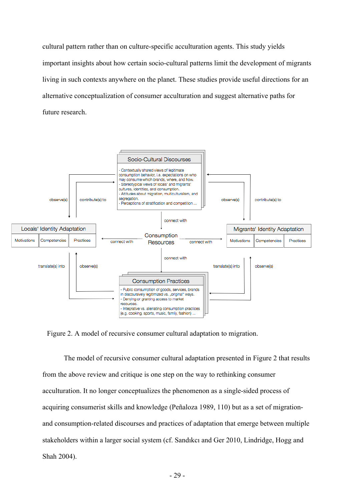cultural pattern rather than on culture-specific acculturation agents. This study yields important insights about how certain socio-cultural patterns limit the development of migrants living in such contexts anywhere on the planet. These studies provide useful directions for an alternative conceptualization of consumer acculturation and suggest alternative paths for future research.



Figure 2. A model of recursive consumer cultural adaptation to migration.

The model of recursive consumer cultural adaptation presented in Figure 2 that results from the above review and critique is one step on the way to rethinking consumer acculturation. It no longer conceptualizes the phenomenon as a single-sided process of acquiring consumerist skills and knowledge (Peñaloza 1989, 110) but as a set of migrationand consumption-related discourses and practices of adaptation that emerge between multiple stakeholders within a larger social system (cf. Sandıkcı and Ger 2010, Lindridge, Hogg and Shah 2004).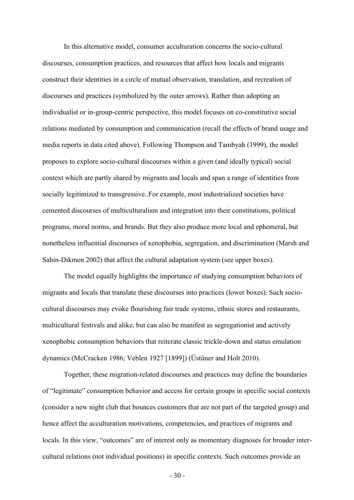In this alternative model, consumer acculturation concerns the socio-cultural discourses, consumption practices, and resources that affect how locals and migrants construct their identities in a circle of mutual observation, translation, and recreation of discourses and practices (symbolized by the outer arrows). Rather than adopting an individualist or in-group-centric perspective, this model focuses on co-constitutive social relations mediated by consumption and communication (recall the effects of brand usage and media reports in data cited above). Following Thompson and Tambyah (1999), the model proposes to explore socio-cultural discourses within a given (and ideally typical) social context which are partly shared by migrants and locals and span a range of identities from socially legitimized to transgressive..For example, most industrialized societies have cemented discourses of multiculturalism and integration into their constitutions, political programs, moral norms, and brands. But they also produce more local and ephemeral, but nonetheless influential discourses of xenophobia, segregation, and discrimination (Marsh and Sahin-Dikmen 2002) that affect the cultural adaptation system (see upper boxes).

The model equally highlights the importance of studying consumption behaviors of migrants and locals that translate these discourses into practices (lower boxes). Such sociocultural discourses may evoke flourishing fair trade systems, ethnic stores and restaurants, multicultural festivals and alike, but can also be manifest as segregationist and actively xenophobic consumption behaviors that reiterate classic trickle-down and status emulation dynamics (McCracken 1986; Veblen 1927 [1899]) (Üstüner and Holt 2010).

Together, these migration-related discourses and practices may define the boundaries of "legitimate" consumption behavior and access for certain groups in specific social contexts (consider a new night club that bounces customers that are not part of the targeted group) and hence affect the acculturation motivations, competencies, and practices of migrants and locals. In this view, "outcomes" are of interest only as momentary diagnoses for broader intercultural relations (not individual positions) in specific contexts. Such outcomes provide an

 $-30-$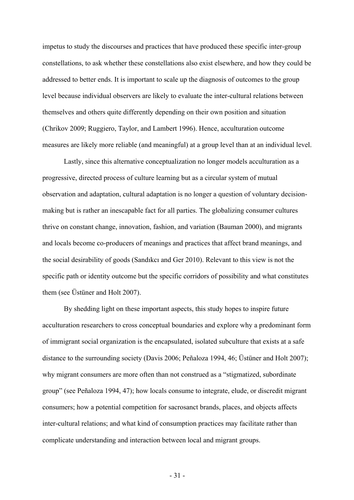impetus to study the discourses and practices that have produced these specific inter-group constellations, to ask whether these constellations also exist elsewhere, and how they could be addressed to better ends. It is important to scale up the diagnosis of outcomes to the group level because individual observers are likely to evaluate the inter-cultural relations between themselves and others quite differently depending on their own position and situation (Chrikov 2009; Ruggiero, Taylor, and Lambert 1996). Hence, acculturation outcome measures are likely more reliable (and meaningful) at a group level than at an individual level.

Lastly, since this alternative conceptualization no longer models acculturation as a progressive, directed process of culture learning but as a circular system of mutual observation and adaptation, cultural adaptation is no longer a question of voluntary decisionmaking but is rather an inescapable fact for all parties. The globalizing consumer cultures thrive on constant change, innovation, fashion, and variation (Bauman 2000), and migrants and locals become co-producers of meanings and practices that affect brand meanings, and the social desirability of goods (Sandıkcı and Ger 2010). Relevant to this view is not the specific path or identity outcome but the specific corridors of possibility and what constitutes them (see Üstüner and Holt 2007).

By shedding light on these important aspects, this study hopes to inspire future acculturation researchers to cross conceptual boundaries and explore why a predominant form of immigrant social organization is the encapsulated, isolated subculture that exists at a safe distance to the surrounding society (Davis 2006; Peñaloza 1994, 46; Üstüner and Holt 2007); why migrant consumers are more often than not construed as a "stigmatized, subordinate group" (see Peñaloza 1994, 47); how locals consume to integrate, elude, or discredit migrant consumers; how a potential competition for sacrosanct brands, places, and objects affects inter-cultural relations; and what kind of consumption practices may facilitate rather than complicate understanding and interaction between local and migrant groups.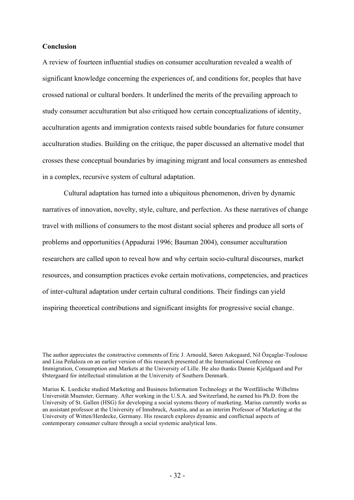#### **Conclusion**

A review of fourteen influential studies on consumer acculturation revealed a wealth of significant knowledge concerning the experiences of, and conditions for, peoples that have crossed national or cultural borders. It underlined the merits of the prevailing approach to study consumer acculturation but also critiqued how certain conceptualizations of identity, acculturation agents and immigration contexts raised subtle boundaries for future consumer acculturation studies. Building on the critique, the paper discussed an alternative model that crosses these conceptual boundaries by imagining migrant and local consumers as enmeshed in a complex, recursive system of cultural adaptation.

Cultural adaptation has turned into a ubiquitous phenomenon, driven by dynamic narratives of innovation, novelty, style, culture, and perfection. As these narratives of change travel with millions of consumers to the most distant social spheres and produce all sorts of problems and opportunities (Appadurai 1996; Bauman 2004), consumer acculturation researchers are called upon to reveal how and why certain socio-cultural discourses, market resources, and consumption practices evoke certain motivations, competencies, and practices of inter-cultural adaptation under certain cultural conditions. Their findings can yield inspiring theoretical contributions and significant insights for progressive social change.

The author appreciates the constructive comments of Eric J. Arnould, Søren Askegaard, Nil Özçaglar-Toulouse and Lisa Peñaloza on an earlier version of this research presented at the International Conference on Immigration, Consumption and Markets at the University of Lille. He also thanks Dannie Kjeldgaard and Per Østergaard for intellectual stimulation at the University of Southern Denmark.

Marius K. Luedicke studied Marketing and Business Information Technology at the Westfälische Wilhelms Universität Muenster, Germany. After working in the U.S.A. and Switzerland, he earned his Ph.D. from the University of St. Gallen (HSG) for developing a social systems theory of marketing. Marius currently works as an assistant professor at the University of Innsbruck, Austria, and as an interim Professor of Marketing at the University of Witten/Herdecke, Germany. His research explores dynamic and conflictual aspects of contemporary consumer culture through a social systemic analytical lens.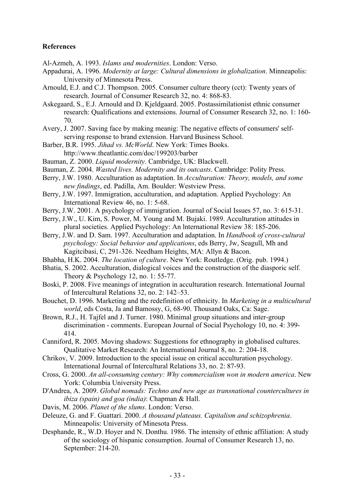#### **References**

Al-Azmeh, A. 1993. *Islams and modernities*. London: Verso.

- Appadurai, A. 1996. *Modernity at large: Cultural dimensions in globalization*. Minneapolis: University of Minnesota Press.
- Arnould, E.J. and C.J. Thompson. 2005. Consumer culture theory (cct): Twenty years of research. Journal of Consumer Research 32, no. 4: 868-83.
- Askegaard, S., E.J. Arnould and D. Kjeldgaard. 2005. Postassimilationist ethnic consumer research: Qualifications and extensions. Journal of Consumer Research 32, no. 1: 160- 70.
- Avery, J. 2007. Saving face by making meanig: The negative effects of consumers' selfserving response to brand extension. Harvard Business School.
- Barber, B.R. 1995. *Jihad vs. McWorld*. New York: Times Books. http://www.theatlantic.com/doc/199203/barber
- Bauman, Z. 2000. *Liquid modernity*. Cambridge, UK: Blackwell.
- Bauman, Z. 2004. *Wasted lives. Modernity and its outcasts*. Cambridge: Polity Press.
- Berry, J.W. 1980. Acculturation as adaptation. In *Acculturation: Theory, models, and some new findings*, ed. Padilla, Am. Boulder: Westview Press.
- Berry, J.W. 1997. Immigration, acculturation, and adaptation. Applied Psychology: An International Review 46, no. 1: 5-68.
- Berry, J.W. 2001. A psychology of immigration. Journal of Social Issues 57, no. 3: 615-31.
- Berry, J.W., U. Kim, S. Power, M. Young and M. Bujaki. 1989. Acculturation attitudes in plural societies. Applied Psychology: An lnternational Review 38: 185-206.
- Berry, J.W. and D. Sam. 1997. Acculturation and adaptation. In *Handbook of cross-cultural psychology: Social behavior and applications*, eds Berry, Jw, Seagull, Mh and Kagitcibasi, C, 291-326. Needham Heights, MA: Allyn & Bacon.
- Bhabha, H.K. 2004. *The location of culture*. New York: Routledge. (Orig. pub. 1994.)
- Bhatia, S. 2002. Acculturation, dialogical voices and the construction of the diasporic self. Theory & Psychology 12, no. 1: 55-77.
- Boski, P. 2008. Five meanings of integration in acculturation research. International Journal of Intercultural Relations 32, no. 2: 142–53.
- Bouchet, D. 1996. Marketing and the redefinition of ethnicity. In *Marketing in a multicultural world*, eds Costa, Ja and Bamossy, G, 68-90. Thousand Oaks, Ca: Sage.
- Brown, R.J., H. Tajfel and J. Turner. 1980. Minimal group situations and inter-group discrimination - comments. European Journal of Social Psychology 10, no. 4: 399- 414.
- Canniford, R. 2005. Moving shadows: Suggestions for ethnography in globalised cultures. Qualitative Market Research: An International Journal 8, no. 2: 204-18.
- Chrikov, V. 2009. Introduction to the special issue on critical acculturation psychology. International Journal of Intercultural Relations 33, no. 2: 87-93.
- Cross, G. 2000. *An all-consuming century: Why commercialism won in modern america*. New York: Columbia University Press.
- D'Andrea, A. 2009. *Global nomads: Techno and new age as transnational countercultures in ibiza (spain) and goa (india)*: Chapman & Hall.
- Davis, M. 2006. *Planet of the slums*. London: Verso.
- Deleuze, G. and F. Guattari. 2000. *A thousand plateaus. Capitalism and schizophrenia*. Minneapolis: University of Minesota Press.
- Desphande, R., W.D. Hoyer and N. Donthu. 1986. The intensity of ethnic affiliation: A study of the sociology of hispanic consumption. Journal of Consumer Research 13, no. September: 214-20.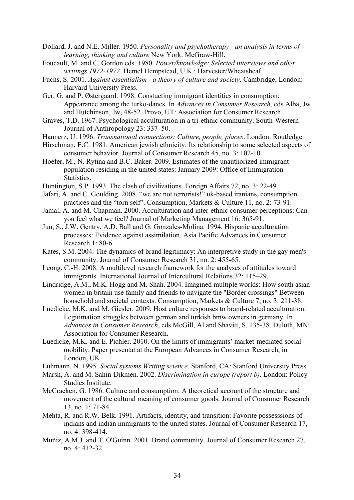- Dollard, J. and N.E. Miller. 1950. *Personality and psychotherapy - an analysis in terms of learning, thinking and culture* New York: McGraw-Hill.
- Foucault, M. and C. Gordon eds. 1980. *Power/knowledge: Selected interviews and other writings 1972-1977.* Hemel Hempstead, U.K.: Harvester/Wheatsheaf.
- Fuchs, S. 2001. *Against essentialism - a theory of culture and society*. Cambridge, London: Harvard University Press.
- Ger, G. and P. Østergaard. 1998. Constucting immigrant identities in consumption: Appearance among the turko-danes. In *Advances in Consumer Research*, eds Alba, Jw and Hutchinson, Jw, 48-52. Provo, UT: Association for Consumer Research.
- Graves, T.D. 1967. Psychological acculturation in a tri-ethnic community. South-Western Journal of Anthropology 23: 337–50.
- Hannerz, U. 1996. *Transnational connections: Culture, people, places*. London: Routledge.
- Hirschman, E.C. 1981. American jewish ethnicity: Its relationship to some selected aspects of consumer behavior. Journal of Consumer Research 45, no. 3: 102-10.
- Hoefer, M., N. Rytina and B.C. Baker. 2009. Estimates of the unauthorized immigrant population residing in the united states: January 2009: Office of Immigration Statistics.
- Huntington, S.P. 1993. The clash of civilizations. Foreign Affairs 72, no. 3: 22-49.
- Jafari, A. and C. Goulding. 2008. "we are not terrorists!" uk-based iranians, consumption practices and the "torn self". Consumption, Markets & Culture 11, no. 2: 73-91.
- Jamal, A. and M. Chapman. 2000. Acculturation and inter-ethnic consumer perceptions: Can you feel what we feel? Journal of Marketing Management 16: 365-91.
- Jun, S., J.W. Gentry, A.D. Ball and G. Gonzales-Molina. 1994. Hispanic acculturation processes: Evidence against assimilation. Asia Pacific Advances in Consumer Research 1: 80-6.
- Kates, S.M. 2004. The dynamics of brand legitimacy: An interpretive study in the gay men's community. Journal of Consumer Research 31, no. 2: 455-65.
- Leong, C.-H. 2008. A multilevel research framework for the analyses of attitudes toward immigrants. International Journal of Intercultural Relations 32: 115–29.
- Lindridge, A.M., M.K. Hogg and M. Shah. 2004. Imagined multiple worlds: How south asian women in britain use family and friends to navigate the "Border crossings" Between household and societal contexts. Consumption, Markets & Culture 7, no. 3: 211-38.
- Luedicke, M.K. and M. Giesler. 2009. Host culture responses to brand-related acculturation: Legitimation struggles between german and turkish bmw owners in germany. In *Advances in Consumer Research*, eds McGill, Al and Shavitt, S, 135-38. Duluth, MN: Association for Consumer Research.
- Luedicke, M.K. and E. Pichler. 2010. On the limits of immigrants' market-mediated social mobility. Paper presentat at the European Advances in Consumer Research, in London, UK.
- Luhmann, N. 1995. *Social systems Writing science*. Stanford, CA: Stanford University Press.
- Marsh, A. and M. Sahin-Dikmen. 2002. *Discrimination in europe (report b)*. London: Policy Studies Institute.
- McCracken, G. 1986. Culture and consumption: A theoretical account of the structure and movement of the cultural meaning of consumer goods. Journal of Consumer Research 13, no. 1: 71-84.
- Mehta, R. and R.W. Belk. 1991. Artifacts, identity, and transition: Favorite possesssions of indians and indian immigrants to the united states. Journal of Consumer Research 17, no. 4: 398-414.
- Muñiz, A.M.J. and T. O'Guinn. 2001. Brand community. Journal of Consumer Research 27, no. 4: 412-32.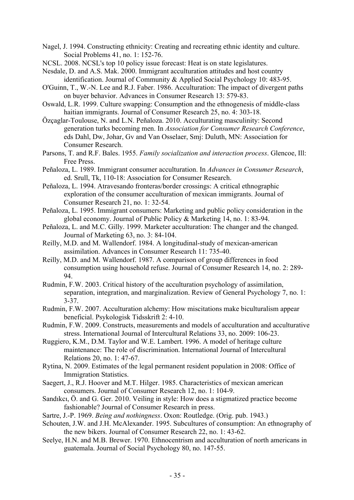- Nagel, J. 1994. Constructing ethnicity: Creating and recreating ethnic identity and culture. Social Problems 41, no. 1: 152-76.
- NCSL. 2008. NCSL's top 10 policy issue forecast: Heat is on state legislatures.

Nesdale, D. and A.S. Mak. 2000. Immigrant acculturation attitudes and host country identification. Journal of Community & Applied Social Psychology 10: 483-95.

- O'Guinn, T., W.-N. Lee and R.J. Faber. 1986. Acculturation: The impact of divergent paths on buyer behavior. Advances in Consumer Research 13: 579-83.
- Oswald, L.R. 1999. Culture swapping: Consumption and the ethnogenesis of middle-class haitian immigrants. Journal of Consumer Research 25, no. 4: 303-18.
- Özçaglar-Toulouse, N. and L.N. Peñaloza. 2010. Acculturating masculinity: Second generation turks becoming men. In *Association for Consumer Research Conference*, eds Dahl, Dw, Johar, Gv and Van Osselaer, Smj: Duluth, MN: Association for Consumer Research.
- Parsons, T. and R.F. Bales. 1955. *Family socialization and interaction process*. Glencoe, Ill: Free Press.
- Peñaloza, L. 1989. Immigrant consumer acculturation. In *Advances in Consumer Research*, ed. Srull, Tk, 110-18: Association for Consumer Research.
- Peñaloza, L. 1994. Atravesando fronteras/border crossings: A critical ethnographic exploration of the consumer acculturation of mexican immigrants. Journal of Consumer Research 21, no. 1: 32-54.
- Peñaloza, L. 1995. Immigrant consumers: Marketing and public policy consideration in the global economy. Journal of Public Policy & Marketing 14, no. 1: 83-94.
- Peñaloza, L. and M.C. Gilly. 1999. Marketer acculturation: The changer and the changed. Journal of Marketing 63, no. 3: 84-104.
- Reilly, M.D. and M. Wallendorf. 1984. A longitudinal-study of mexican-american assimilation. Advances in Consumer Research 11: 735-40.
- Reilly, M.D. and M. Wallendorf. 1987. A comparison of group differences in food consumption using household refuse. Journal of Consumer Research 14, no. 2: 289- 94.
- Rudmin, F.W. 2003. Critical history of the acculturation psychology of assimilation, separation, integration, and marginalization. Review of General Psychology 7, no. 1: 3-37.
- Rudmin, F.W. 2007. Acculturation alchemy: How miscitations make biculturalism appear beneficial. Psykologisk Tidsskrift 2: 4-10.
- Rudmin, F.W. 2009. Constructs, measurements and models of acculturation and acculturative stress. International Journal of Intercultural Relations 33, no. 2009: 106-23.
- Ruggiero, K.M., D.M. Taylor and W.E. Lambert. 1996. A model of heritage culture maintenance: The role of discrimination. International Journal of Intercultural Relations 20, no. 1: 47-67.
- Rytina, N. 2009. Estimates of the legal permanent resident population in 2008: Office of Immigration Statistics.
- Saegert, J., R.J. Hoover and M.T. Hilger. 1985. Characteristics of mexican american consumers. Journal of Consumer Research 12, no. 1: 104-9.
- Sandıkcı, Ö. and G. Ger. 2010. Veiling in style: How does a stigmatized practice become fashionable? Journal of Consumer Research in press.
- Sartre, J.-P. 1969. *Being and nothingness*. Oxon: Routledge. (Orig. pub. 1943.)
- Schouten, J.W. and J.H. McAlexander. 1995. Subcultures of consumption: An ethnography of the new bikers. Journal of Consumer Research 22, no. 1: 43-62.
- Seelye, H.N. and M.B. Brewer. 1970. Ethnocentrism and acculturation of north americans in guatemala. Journal of Social Psychology 80, no. 147-55.